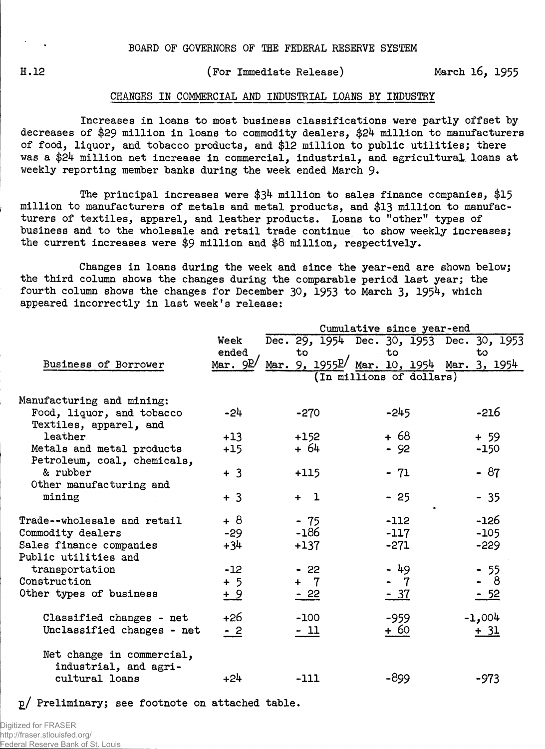H**.12** (For Immediate Release) March **16, 1955**

## CHANGES IN COMMERCIAL AND INDUSTRIAL LOANS BY INDUSTRY

Increases in loans to most business classifications were partly offset bydecreases of \$29 million in loans to commodity dealers, \$24 million to manufacturers of food, liquor, and tobacco products, and \$12 million to public utilities; there was a **\$24** million net increase in commercial, industrial, and agricultural, loans at weekly reporting member banks during the week ended March 9.

The principal increases were **\$34** million to sales finance companies, **\$15** million to manufacturers of metals and metal products, and \$13 million to manufacturers of textiles, apparel, and leather products. Loans to "other" types of business and to the wholesale and retail trade continue to show weekly increases; the current increases were \$9 million and \$8 million, respectively.

Changes in loans during the week and since the year-end are shown below; the third column shows the changes during the comparable period last year; the fourth column shows the changes for December 30, 1953 to March 3, 1954, which appeared incorrectly in last week's release:

|                                                          | Cumulative since year-end |                          |                                                              |  |                |  |             |  |  |  |  |  |
|----------------------------------------------------------|---------------------------|--------------------------|--------------------------------------------------------------|--|----------------|--|-------------|--|--|--|--|--|
|                                                          | Week                      |                          | Dec. 29, 1954 Dec. 30, 1953 Dec. 30, 1953                    |  |                |  |             |  |  |  |  |  |
| Business of Borrower                                     | ended<br>Mar. $9P/$       |                          | to<br>Mar. 9, 1955 <sup>p</sup> / Mar. 10, 1954 Mar. 3, 1954 |  | to             |  | to          |  |  |  |  |  |
|                                                          |                           | (In millions of dollars) |                                                              |  |                |  |             |  |  |  |  |  |
| Manufacturing and mining:                                |                           |                          |                                                              |  |                |  |             |  |  |  |  |  |
| Food, liquor, and tobacco<br>Textiles, apparel, and      | -24                       |                          | $-270$                                                       |  | $-245$         |  | $-216$      |  |  |  |  |  |
| leather                                                  | $+13$                     |                          | $+152$                                                       |  | $+68$          |  | $+ 59$      |  |  |  |  |  |
| Metals and metal products<br>Petroleum, coal, chemicals, | $+15$                     |                          | $+64$                                                        |  | $-92$          |  | $-150$      |  |  |  |  |  |
| & rubber<br>Other manufacturing and                      | $+3$                      |                          | $+115$                                                       |  | $-71$          |  | $-87$       |  |  |  |  |  |
| mining                                                   | $+3$                      |                          | $+1$                                                         |  | $-25$          |  | $-35$       |  |  |  |  |  |
| Trade--wholesale and retail                              | $+8$                      |                          | $-75$                                                        |  | $-112$         |  | -156        |  |  |  |  |  |
| Commodity dealers                                        | $-29$                     |                          | $-186$                                                       |  | $-117$         |  | $-105$      |  |  |  |  |  |
| Sales finance companies                                  | $+34$                     |                          | $+137$                                                       |  | $-271$         |  | $-229$      |  |  |  |  |  |
| Public utilities and                                     |                           |                          |                                                              |  |                |  |             |  |  |  |  |  |
| transportation                                           | $-12$                     |                          | $-22$                                                        |  | - 49           |  | $-55$       |  |  |  |  |  |
| Construction                                             | $+5$                      |                          | + 7                                                          |  | $\overline{7}$ |  | - 8         |  |  |  |  |  |
| Other types of business                                  | $\pm 9$                   |                          | $-22$                                                        |  | <u>- 37</u>    |  | <u>- 52</u> |  |  |  |  |  |
| Classified changes - net                                 | $+26$                     |                          | $-100$                                                       |  | $-959$         |  | $-1,004$    |  |  |  |  |  |
| Unclassified changes - net                               | $-2$                      |                          | $-11$                                                        |  | + 60           |  | <u>+ 31</u> |  |  |  |  |  |
| Net change in commercial,<br>industrial, and agri-       |                           |                          |                                                              |  |                |  |             |  |  |  |  |  |
| cultural loans                                           | $+24$                     |                          | $-111$                                                       |  | $-899$         |  | $-973$      |  |  |  |  |  |

p/ Preliminary; see footnote on attached table.